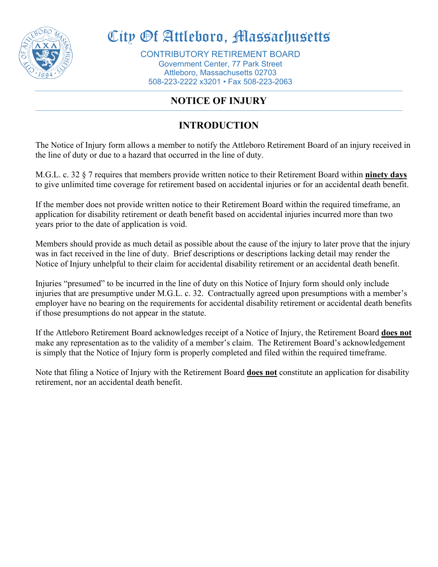

# City Of Attleboro, Massachusetts

CONTRIBUTORY RETIREMENT BOARD Government Center, 77 Park Street Attleboro, Massachusetts 02703 508-223-2222 x3201 • Fax 508-223-2063

## **NOTICE OF INJURY**

# **INTRODUCTION**

The Notice of Injury form allows a member to notify the Attleboro Retirement Board of an injury received in the line of duty or due to a hazard that occurred in the line of duty.

M.G.L. c. 32 § 7 requires that members provide written notice to their Retirement Board within **ninety days**  to give unlimited time coverage for retirement based on accidental injuries or for an accidental death benefit.

If the member does not provide written notice to their Retirement Board within the required timeframe, an application for disability retirement or death benefit based on accidental injuries incurred more than two years prior to the date of application is void.

Members should provide as much detail as possible about the cause of the injury to later prove that the injury was in fact received in the line of duty. Brief descriptions or descriptions lacking detail may render the Notice of Injury unhelpful to their claim for accidental disability retirement or an accidental death benefit.

Injuries "presumed" to be incurred in the line of duty on this Notice of Injury form should only include injuries that are presumptive under M.G.L. c. 32. Contractually agreed upon presumptions with a member's employer have no bearing on the requirements for accidental disability retirement or accidental death benefits if those presumptions do not appear in the statute.

If the Attleboro Retirement Board acknowledges receipt of a Notice of Injury, the Retirement Board **does not** make any representation as to the validity of a member's claim. The Retirement Board's acknowledgement is simply that the Notice of Injury form is properly completed and filed within the required timeframe.

Note that filing a Notice of Injury with the Retirement Board **does not** constitute an application for disability retirement, nor an accidental death benefit.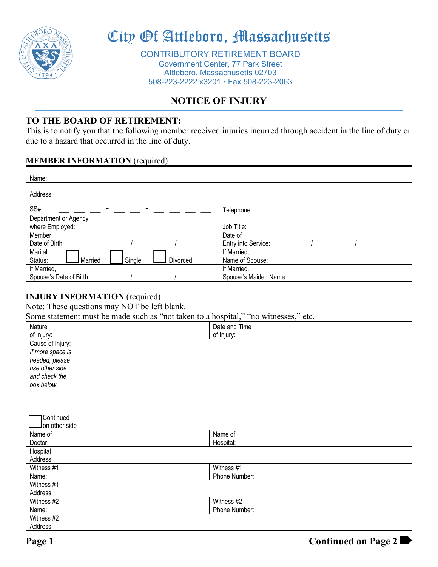

# City Of Attleboro, Massachusetts

CONTRIBUTORY RETIREMENT BOARD Government Center, 77 Park Street Attleboro, Massachusetts 02703 508-223-2222 x3201 • Fax 508-223-2063

## **NOTICE OF INJURY**

## **TO THE BOARD OF RETIREMENT:**

This is to notify you that the following member received injuries incurred through accident in the line of duty or due to a hazard that occurred in the line of duty.

### **MEMBER INFORMATION** (required)

| Name:                                    |                       |
|------------------------------------------|-----------------------|
| Address:                                 |                       |
| SS#:<br>-                                | Telephone:            |
| Department or Agency                     |                       |
| where Employed:                          | Job Title:            |
| Member                                   | Date of               |
| Date of Birth:                           | Entry into Service:   |
| Marital                                  | If Married,           |
| Married<br>Single<br>Status:<br>Divorced | Name of Spouse:       |
| If Married,                              | If Married,           |
| Spouse's Date of Birth:                  | Spouse's Maiden Name: |

### **INJURY INFORMATION** (required)

Note: These questions may NOT be left blank.

Some statement must be made such as "not taken to a hospital," "no witnesses," etc.

| Nature           | Date and Time |
|------------------|---------------|
| of Injury:       | of Injury:    |
| Cause of Injury: |               |
| If more space is |               |
| needed, please   |               |
| use other side   |               |
| and check the    |               |
| box below.       |               |
|                  |               |
|                  |               |
|                  |               |
| Continued        |               |
| on other side    |               |
| Name of          | Name of       |
| Doctor:          | Hospital:     |
| Hospital         |               |
| Address:         |               |
| Witness #1       | Witness #1    |
| Name:            | Phone Number: |
| Witness #1       |               |
| Address:         |               |
| Witness #2       | Witness #2    |
| Name:            | Phone Number: |
| Witness #2       |               |
| Address:         |               |